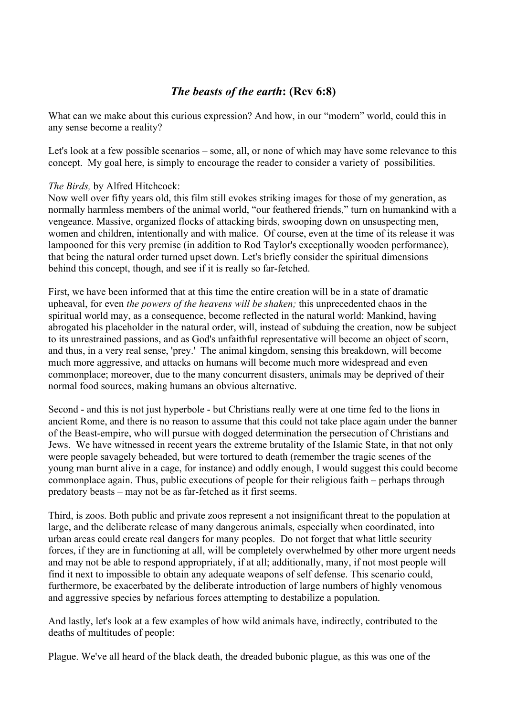## *The beasts of the earth***: (Rev 6:8)**

What can we make about this curious expression? And how, in our "modern" world, could this in any sense become a reality?

Let's look at a few possible scenarios – some, all, or none of which may have some relevance to this concept. My goal here, is simply to encourage the reader to consider a variety of possibilities.

## *The Birds,* by Alfred Hitchcock:

Now well over fifty years old, this film still evokes striking images for those of my generation, as normally harmless members of the animal world, "our feathered friends," turn on humankind with a vengeance. Massive, organized flocks of attacking birds, swooping down on unsuspecting men, women and children, intentionally and with malice. Of course, even at the time of its release it was lampooned for this very premise (in addition to Rod Taylor's exceptionally wooden performance), that being the natural order turned upset down. Let's briefly consider the spiritual dimensions behind this concept, though, and see if it is really so far-fetched.

First, we have been informed that at this time the entire creation will be in a state of dramatic upheaval, for even *the powers of the heavens will be shaken;* this unprecedented chaos in the spiritual world may, as a consequence, become reflected in the natural world: Mankind, having abrogated his placeholder in the natural order, will, instead of subduing the creation, now be subject to its unrestrained passions, and as God's unfaithful representative will become an object of scorn, and thus, in a very real sense, 'prey.' The animal kingdom, sensing this breakdown, will become much more aggressive, and attacks on humans will become much more widespread and even commonplace; moreover, due to the many concurrent disasters, animals may be deprived of their normal food sources, making humans an obvious alternative.

Second - and this is not just hyperbole - but Christians really were at one time fed to the lions in ancient Rome, and there is no reason to assume that this could not take place again under the banner of the Beast-empire, who will pursue with dogged determination the persecution of Christians and Jews. We have witnessed in recent years the extreme brutality of the Islamic State, in that not only were people savagely beheaded, but were tortured to death (remember the tragic scenes of the young man burnt alive in a cage, for instance) and oddly enough, I would suggest this could become commonplace again. Thus, public executions of people for their religious faith – perhaps through predatory beasts – may not be as far-fetched as it first seems.

Third, is zoos. Both public and private zoos represent a not insignificant threat to the population at large, and the deliberate release of many dangerous animals, especially when coordinated, into urban areas could create real dangers for many peoples. Do not forget that what little security forces, if they are in functioning at all, will be completely overwhelmed by other more urgent needs and may not be able to respond appropriately, if at all; additionally, many, if not most people will find it next to impossible to obtain any adequate weapons of self defense. This scenario could, furthermore, be exacerbated by the deliberate introduction of large numbers of highly venomous and aggressive species by nefarious forces attempting to destabilize a population.

And lastly, let's look at a few examples of how wild animals have, indirectly, contributed to the deaths of multitudes of people:

Plague. We've all heard of the black death, the dreaded bubonic plague, as this was one of the